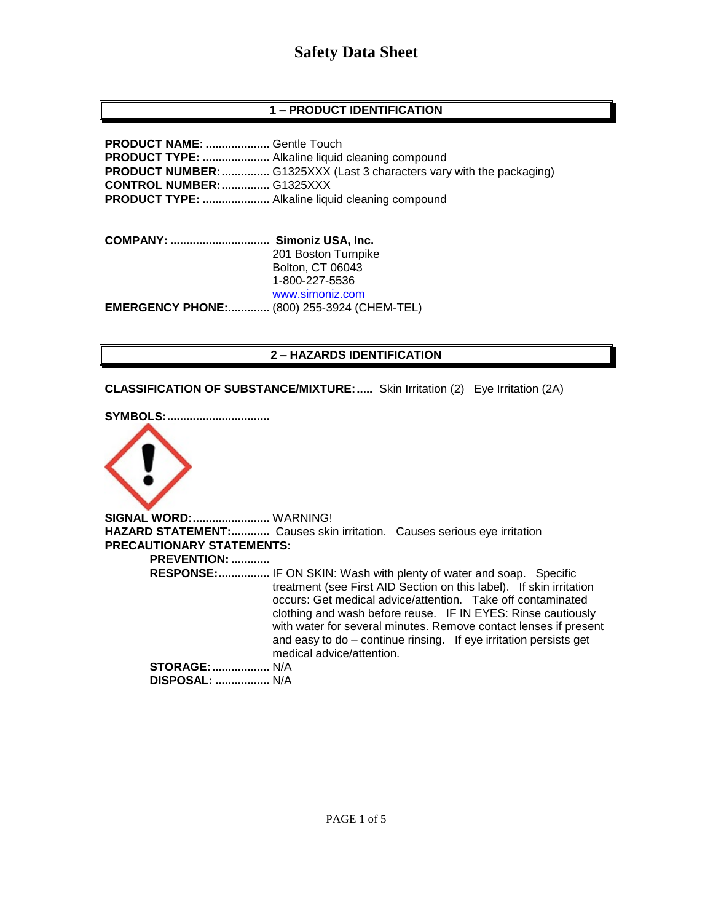# **1 – PRODUCT IDENTIFICATION**

**PRODUCT NAME: ....................** Gentle Touch **PRODUCT TYPE: .....................** Alkaline liquid cleaning compound **PRODUCT NUMBER:...............** G1325XXX (Last 3 characters vary with the packaging) **CONTROL NUMBER:...............** G1325XXX **PRODUCT TYPE: .....................** Alkaline liquid cleaning compound

**COMPANY: ............................... Simoniz USA, Inc.** 201 Boston Turnpike Bolton, CT 06043 1-800-227-5536 [www.simoniz.com](http://www.simoniz.com/) **EMERGENCY PHONE:.............** (800) 255-3924 (CHEM-TEL)

# **2 – HAZARDS IDENTIFICATION**

**CLASSIFICATION OF SUBSTANCE/MIXTURE:.....** Skin Irritation (2) Eye Irritation (2A)

**SYMBOLS:................................**



**SIGNAL WORD:........................** WARNING! **HAZARD STATEMENT:............** Causes skin irritation. Causes serious eye irritation **PRECAUTIONARY STATEMENTS: PREVENTION: ............ RESPONSE:................** IF ON SKIN: Wash with plenty of water and soap. Specific treatment (see First AID Section on this label). If skin irritation occurs: Get medical advice/attention. Take off contaminated clothing and wash before reuse. IF IN EYES: Rinse cautiously with water for several minutes. Remove contact lenses if present and easy to do – continue rinsing. If eye irritation persists get medical advice/attention. **STORAGE:..................** N/A  **DISPOSAL: .................** N/A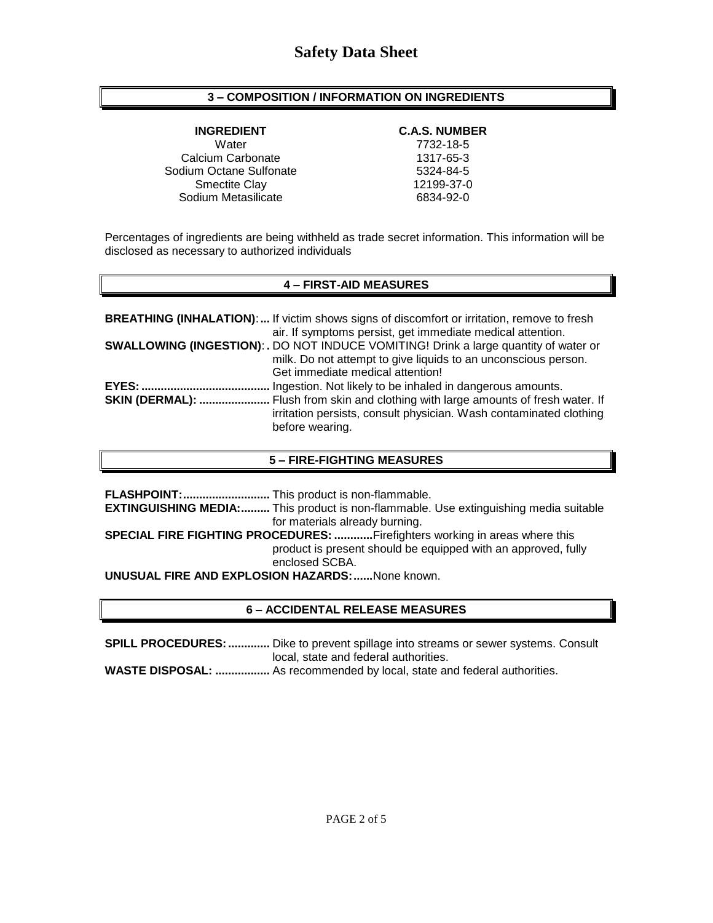# **3 – COMPOSITION / INFORMATION ON INGREDIENTS**

Water 7732-18-5 Calcium Carbonate 1317-65-3 Sodium Octane Sulfonate 5324-84-5 Smectite Clay 12199-37-0 Sodium Metasilicate 6834-92-0

### **INGREDIENT C.A.S. NUMBER**

Percentages of ingredients are being withheld as trade secret information. This information will be disclosed as necessary to authorized individuals

# **4 – FIRST-AID MEASURES**

|                        | <b>BREATHING (INHALATION):</b> If victim shows signs of discomfort or irritation, remove to fresh                                                           |
|------------------------|-------------------------------------------------------------------------------------------------------------------------------------------------------------|
|                        | air. If symptoms persist, get immediate medical attention.                                                                                                  |
|                        | <b>SWALLOWING (INGESTION): .</b> DO NOT INDUCE VOMITING! Drink a large quantity of water or                                                                 |
|                        | milk. Do not attempt to give liquids to an unconscious person.                                                                                              |
|                        | Get immediate medical attention!                                                                                                                            |
| EYES:                  | Ingestion. Not likely to be inhaled in dangerous amounts.                                                                                                   |
| <b>SKIN (DERMAL): </b> | Flush from skin and clothing with large amounts of fresh water. If<br>irritation persists, consult physician. Wash contaminated clothing<br>before wearing. |
|                        |                                                                                                                                                             |

# **5 – FIRE-FIGHTING MEASURES**

| <b>EXTINGUISHING MEDIA:</b> This product is non-flammable. Use extinguishing media suitable |
|---------------------------------------------------------------------------------------------|
| for materials already burning.                                                              |
| <b>SPECIAL FIRE FIGHTING PROCEDURES: Firefighters working in areas where this</b>           |
| product is present should be equipped with an approved, fully                               |
| enclosed SCBA.                                                                              |
| <b>UNUSUAL FIRE AND EXPLOSION HAZARDS:  None known.</b>                                     |

# **6 – ACCIDENTAL RELEASE MEASURES**

**SPILL PROCEDURES:.............** Dike to prevent spillage into streams or sewer systems. Consult local, state and federal authorities.

**WASTE DISPOSAL: .................** As recommended by local, state and federal authorities.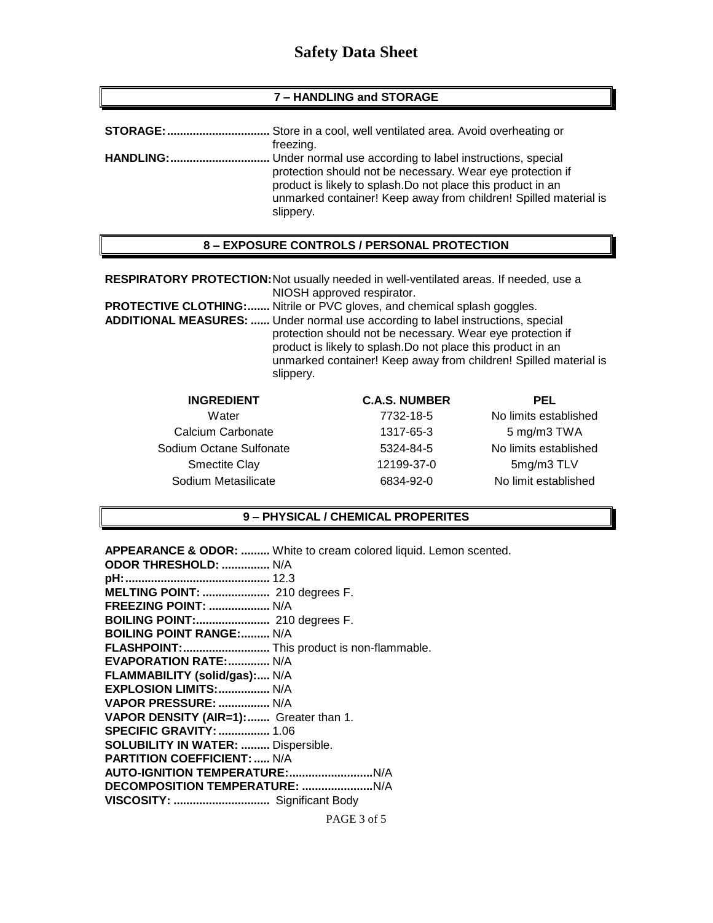#### **7 – HANDLING and STORAGE**

| <b>STORAGE:</b>  | Store in a cool, well ventilated area. Avoid overheating or                                                                                                                                                                                                              |
|------------------|--------------------------------------------------------------------------------------------------------------------------------------------------------------------------------------------------------------------------------------------------------------------------|
|                  | freezing.                                                                                                                                                                                                                                                                |
| <b>HANDLING:</b> | Under normal use according to label instructions, special<br>protection should not be necessary. Wear eye protection if<br>product is likely to splash. Do not place this product in an<br>unmarked container! Keep away from children! Spilled material is<br>slippery. |

#### **8 – EXPOSURE CONTROLS / PERSONAL PROTECTION**

**RESPIRATORY PROTECTION:**Not usually needed in well-ventilated areas. If needed, use a NIOSH approved respirator.

**PROTECTIVE CLOTHING:.......** Nitrile or PVC gloves, and chemical splash goggles.

**ADDITIONAL MEASURES: ......** Under normal use according to label instructions, special protection should not be necessary. Wear eye protection if product is likely to splash.Do not place this product in an unmarked container! Keep away from children! Spilled material is slippery.

| <b>INGREDIENT</b>       | <b>C.A.S. NUMBER</b> | PEL                   |
|-------------------------|----------------------|-----------------------|
| Water                   | 7732-18-5            | No limits established |
| Calcium Carbonate       | 1317-65-3            | 5 mg/m3 TWA           |
| Sodium Octane Sulfonate | 5324-84-5            | No limits established |
| <b>Smectite Clay</b>    | 12199-37-0           | 5mg/m3 TLV            |
| Sodium Metasilicate     | 6834-92-0            | No limit established  |

#### **9 – PHYSICAL / CHEMICAL PROPERITES**

| <b>APPEARANCE &amp; ODOR: </b> White to cream colored liquid. Lemon scented. |
|------------------------------------------------------------------------------|
| ODOR THRESHOLD:  N/A                                                         |
|                                                                              |
| MELTING POINT:  210 degrees F.                                               |
| <b>FREEZING POINT:  N/A</b>                                                  |
| BOILING POINT: 210 degrees F.                                                |
| <b>BOILING POINT RANGE: N/A</b>                                              |
| FLASHPOINT: This product is non-flammable.                                   |
| <b>EVAPORATION RATE: N/A</b>                                                 |
| FLAMMABILITY (solid/gas): N/A                                                |
| EXPLOSION LIMITS:  N/A                                                       |
| VAPOR PRESSURE:  N/A                                                         |
| VAPOR DENSITY (AIR=1): Greater than 1.                                       |
| <b>SPECIFIC GRAVITY:  1.06</b>                                               |
| SOLUBILITY IN WATER:  Dispersible.                                           |
| <b>PARTITION COEFFICIENT:  N/A</b>                                           |
|                                                                              |
|                                                                              |
| VISCOSITY:  Significant Body                                                 |
|                                                                              |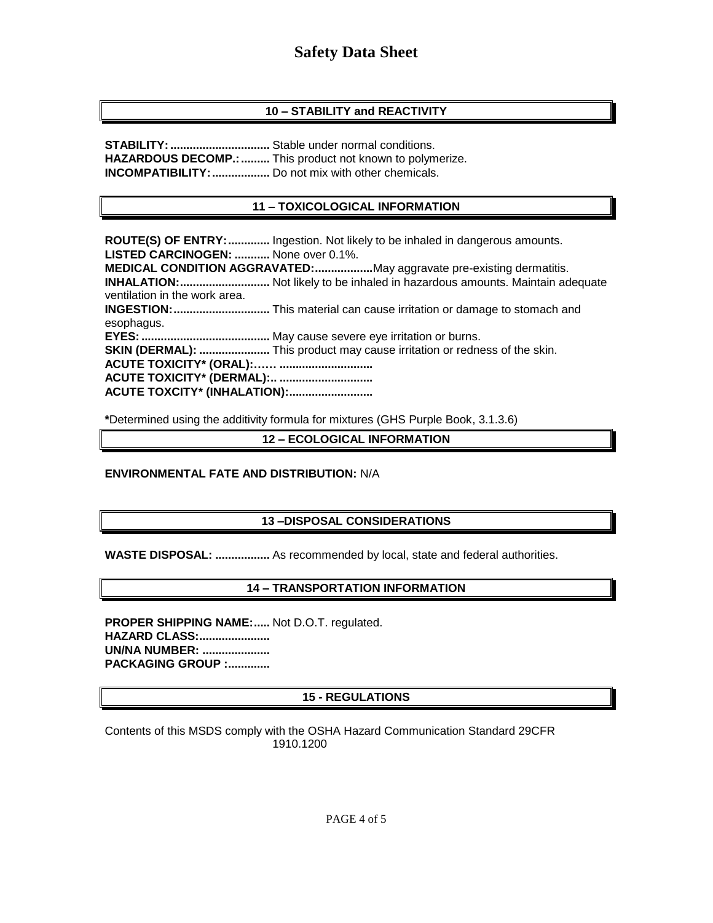# **10 – STABILITY and REACTIVITY**

**STABILITY:...............................** Stable under normal conditions. HAZARDOUS DECOMP.: ......... This product not known to polymerize. **INCOMPATIBILITY:..................** Do not mix with other chemicals.

# **11 – TOXICOLOGICAL INFORMATION**

**ROUTE(S) OF ENTRY:.............** Ingestion. Not likely to be inhaled in dangerous amounts. **LISTED CARCINOGEN: ...........** None over 0.1%. **MEDICAL CONDITION AGGRAVATED:..................**May aggravate pre-existing dermatitis. **INHALATION:............................** Not likely to be inhaled in hazardous amounts. Maintain adequate ventilation in the work area. **INGESTION:..............................** This material can cause irritation or damage to stomach and esophagus. **EYES:........................................** May cause severe eye irritation or burns. **SKIN (DERMAL): ......................** This product may cause irritation or redness of the skin. **ACUTE TOXICITY\* (ORAL):…… ............................. ACUTE TOXICITY\* (DERMAL):.. ............................. ACUTE TOXCITY\* (INHALATION):..........................**

**\***Determined using the additivity formula for mixtures (GHS Purple Book, 3.1.3.6)

**12 – ECOLOGICAL INFORMATION**

# **ENVIRONMENTAL FATE AND DISTRIBUTION:** N/A

# **13 –DISPOSAL CONSIDERATIONS**

**WASTE DISPOSAL: .................** As recommended by local, state and federal authorities.

# **14 – TRANSPORTATION INFORMATION**

**PROPER SHIPPING NAME:.....** Not D.O.T. regulated. **HAZARD CLASS:...................... UN/NA NUMBER: ..................... PACKAGING GROUP :.............**

# **15 - REGULATIONS**

Contents of this MSDS comply with the OSHA Hazard Communication Standard 29CFR 1910.1200

PAGE 4 of 5